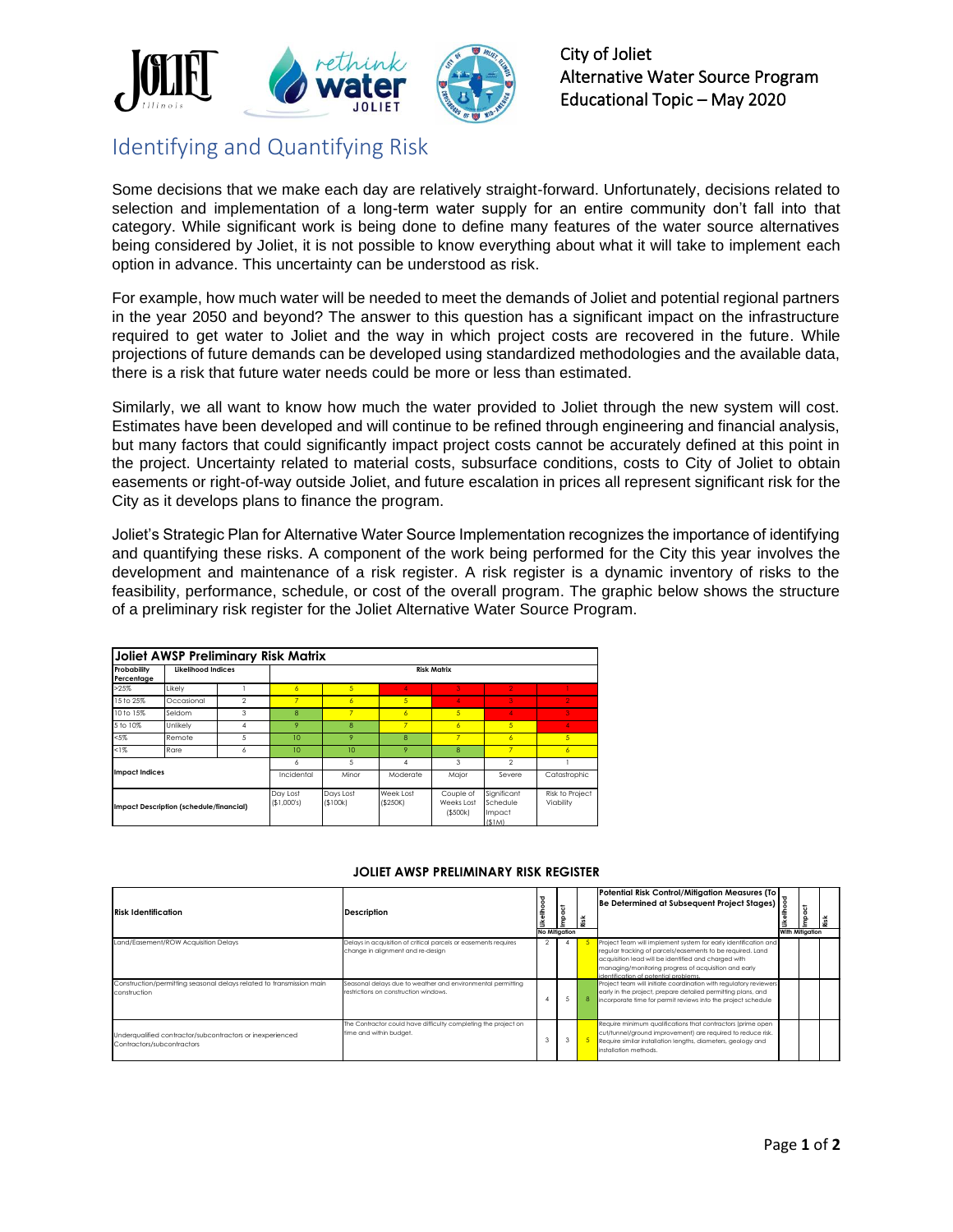

## Identifying and Quantifying Risk

Some decisions that we make each day are relatively straight-forward. Unfortunately, decisions related to selection and implementation of a long-term water supply for an entire community don't fall into that category. While significant work is being done to define many features of the water source alternatives being considered by Joliet, it is not possible to know everything about what it will take to implement each option in advance. This uncertainty can be understood as risk.

For example, how much water will be needed to meet the demands of Joliet and potential regional partners in the year 2050 and beyond? The answer to this question has a significant impact on the infrastructure required to get water to Joliet and the way in which project costs are recovered in the future. While projections of future demands can be developed using standardized methodologies and the available data, there is a risk that future water needs could be more or less than estimated.

Similarly, we all want to know how much the water provided to Joliet through the new system will cost. Estimates have been developed and will continue to be refined through engineering and financial analysis, but many factors that could significantly impact project costs cannot be accurately defined at this point in the project. Uncertainty related to material costs, subsurface conditions, costs to City of Joliet to obtain easements or right-of-way outside Joliet, and future escalation in prices all represent significant risk for the City as it develops plans to finance the program.

Joliet's Strategic Plan for Alternative Water Source Implementation recognizes the importance of identifying and quantifying these risks. A component of the work being performed for the City this year involves the development and maintenance of a risk register. A risk register is a dynamic inventory of risks to the feasibility, performance, schedule, or cost of the overall program. The graphic below shows the structure of a preliminary risk register for the Joliet Alternative Water Source Program.

| Joliet AWSP Preliminary Risk Matrix |                                                |                |                         |                       |                      |                                      |                                            |                              |  |  |  |  |  |  |
|-------------------------------------|------------------------------------------------|----------------|-------------------------|-----------------------|----------------------|--------------------------------------|--------------------------------------------|------------------------------|--|--|--|--|--|--|
| Probability<br>Percentage           | Likelihood Indices                             |                | <b>Risk Matrix</b>      |                       |                      |                                      |                                            |                              |  |  |  |  |  |  |
| >25%                                | Likelv                                         |                | $\overline{6}$          | 5                     | Δ                    | ß.                                   | 2                                          |                              |  |  |  |  |  |  |
| 15 to 25%                           | Occasional                                     | $\mathfrak{D}$ | 7                       | $\epsilon$            | 5                    | Δ                                    | 3                                          | $\mathcal{P}$                |  |  |  |  |  |  |
| 10 to 15%                           | Seldom                                         | 3              | $\mathsf{R}$            | 7                     | $\overline{6}$       | 5                                    | 4                                          | 3                            |  |  |  |  |  |  |
| 5 to 10%                            | Unlikelv                                       | 4              | 9                       | 8                     | 7                    | $\overline{6}$                       | 5                                          | 4                            |  |  |  |  |  |  |
| $< 5\%$                             | Remote                                         | 5              | 10 <sup>2</sup>         | 9                     | $\mathbf{8}$         | 7                                    | $\overline{6}$                             | 5                            |  |  |  |  |  |  |
| $1\%$                               | Rare                                           | 6              | 10                      | 10 <sup>2</sup>       | 9                    | 8                                    | 7                                          | 6                            |  |  |  |  |  |  |
|                                     |                                                |                | 6                       | 5                     | 4                    | 3                                    | $\mathfrak{p}$                             |                              |  |  |  |  |  |  |
| <b>Impact Indices</b>               |                                                |                | Incidental              | Minor                 | Moderate             | Major                                | Severe                                     | Catastrophic                 |  |  |  |  |  |  |
|                                     | <b>Impact Description (schedule/financial)</b> |                | Day Lost<br>(\$1,000's) | Davs Lost<br>(\$100k) | Week Lost<br>(S250K) | Couple of<br>Weeks Lost<br>( \$500k) | Significant<br>Schedule<br>Impact<br>(SIM) | Risk to Project<br>Viability |  |  |  |  |  |  |

## **JOLIET AWSP PRELIMINARY RISK REGISTER**

| <b>Risk Identification</b>                                                                                                   | <b>Description</b>                                                                                                                                                                                           | 뀡<br><b>Likeliho</b><br><b>No Mitigation</b> | <b>Impact</b> | Risk | Potential Risk Control/Mitigation Measures (To<br>Be Determined at Subsequent Project Stages)                                                                                                                                                                                                                                                                                                                                                                                                 | With Mitiaation | Impact |  |
|------------------------------------------------------------------------------------------------------------------------------|--------------------------------------------------------------------------------------------------------------------------------------------------------------------------------------------------------------|----------------------------------------------|---------------|------|-----------------------------------------------------------------------------------------------------------------------------------------------------------------------------------------------------------------------------------------------------------------------------------------------------------------------------------------------------------------------------------------------------------------------------------------------------------------------------------------------|-----------------|--------|--|
| Land/Easement/ROW Acquisition Delays<br>Construction/permitting seasonal delays related to transmission main<br>construction | Delays in acquisition of critical parcels or easements requires<br>change in alignment and re-design<br>Seasonal delays due to weather and environmental permitting<br>restrictions on construction windows. |                                              |               |      | Project Team will implement system for early identification and<br>regular tracking of parcels/easements to be required. Land<br>acquisition lead will be identified and charged with<br>managing/monitoring progress of acquisition and early<br>identification of potential problems.<br>Project team will initiate coordination with regulatory reviewers<br>early in the project, prepare detailed permitting plans, and<br>incorporate time for permit reviews into the project schedule |                 |        |  |
| Underqualified contractor/subcontractors or inexperienced<br>Contractors/subcontractors                                      | The Contractor could have difficulty completing the project on<br>time and within budget.                                                                                                                    |                                              |               |      | Require minimum qualifications that contractors (prime open<br>cut/tunnel/ground improvement) are required to reduce risk.<br>Require similar installation lengths, diameters, geology and<br>installation methods                                                                                                                                                                                                                                                                            |                 |        |  |